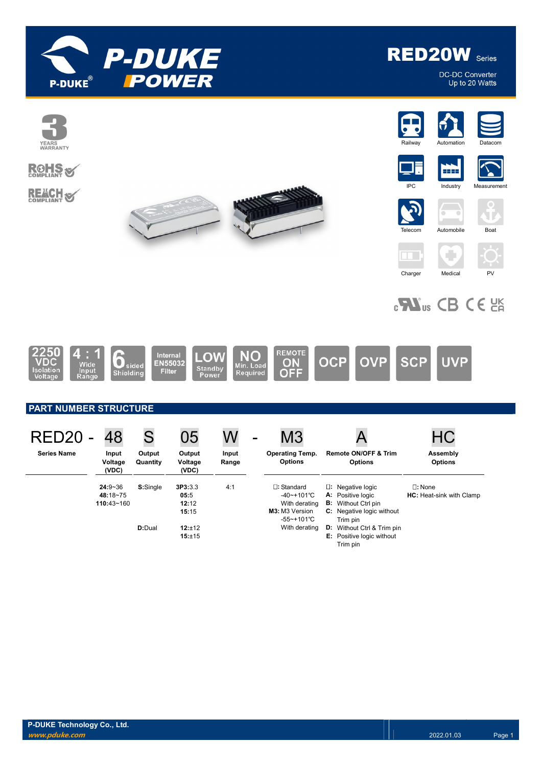



DC-DC Converter Up to 20 Watts

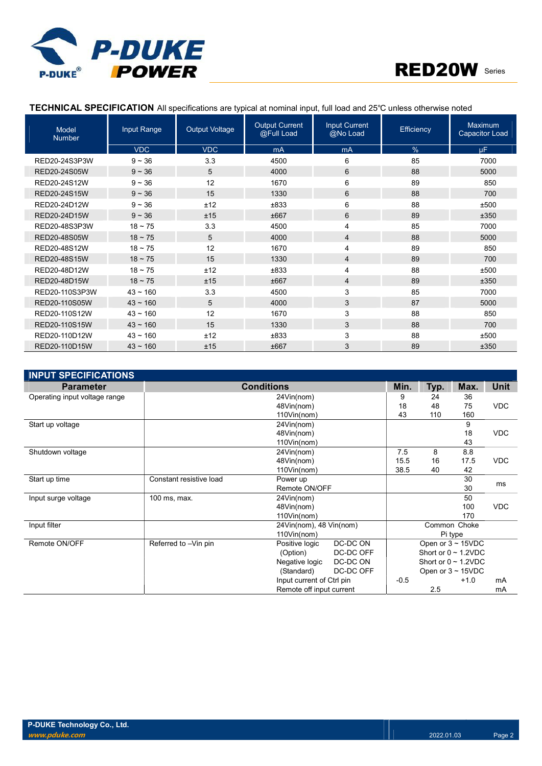



## TECHNICAL SPECIFICATION All specifications are typical at nominal input, full load and 25℃ unless otherwise noted

| <b>Model</b><br><b>Number</b> | Input Range   | <b>Output Voltage</b> | <b>Output Current</b><br>@Full Load | <b>Input Current</b><br>@No Load | Efficiency | <b>Maximum</b><br><b>Capacitor Load</b> |
|-------------------------------|---------------|-----------------------|-------------------------------------|----------------------------------|------------|-----------------------------------------|
|                               | <b>VDC</b>    | <b>VDC</b>            | mA                                  | mA                               | $\%$       | <b>uF</b>                               |
| RED20-24S3P3W                 | $9 - 36$      | 3.3                   | 4500                                | 6                                | 85         | 7000                                    |
| RED20-24S05W                  | $9 - 36$      | 5                     | 4000                                | 6                                | 88         | 5000                                    |
| RED20-24S12W                  | $9 - 36$      | 12                    | 1670                                | 6                                | 89         | 850                                     |
| RED20-24S15W                  | $9 - 36$      | 15                    | 1330                                | 6                                | 88         | 700                                     |
| RED20-24D12W                  | $9 - 36$      | ±12                   | ±833                                | 6                                | 88         | ±500                                    |
| RED20-24D15W                  | $9 - 36$      | ±15                   | ±667                                | 6                                | 89         | ±350                                    |
| RED20-48S3P3W                 | $18 - 75$     | 3.3                   | 4500                                | 4                                | 85         | 7000                                    |
| RED20-48S05W                  | $18 \sim 75$  | 5                     | 4000                                | 4                                | 88         | 5000                                    |
| RED20-48S12W                  | $18 - 75$     | 12                    | 1670                                | 4                                | 89         | 850                                     |
| RED20-48S15W                  | $18 \sim 75$  | 15                    | 1330                                | 4                                | 89         | 700                                     |
| RED20-48D12W                  | $18 - 75$     | ±12                   | ±833                                | 4                                | 88         | ±500                                    |
| RED20-48D15W                  | $18 \sim 75$  | ±15                   | ±667                                | 4                                | 89         | ±350                                    |
| RED20-110S3P3W                | $43 - 160$    | 3.3                   | 4500                                | 3                                | 85         | 7000                                    |
| RED20-110S05W                 | $43 \sim 160$ | 5                     | 4000                                | 3                                | 87         | 5000                                    |
| RED20-110S12W                 | $43 - 160$    | 12                    | 1670                                | 3                                | 88         | 850                                     |
| RED20-110S15W                 | $43 \sim 160$ | 15                    | 1330                                | 3                                | 88         | 700                                     |
| RED20-110D12W                 | $43 - 160$    | ±12                   | ±833                                | 3                                | 88         | ±500                                    |
| RED20-110D15W                 | $43 \sim 160$ | ±15                   | ±667                                | 3                                | 89         | ±350                                    |

| <b>INPUT SPECIFICATIONS</b>   |                         |                            |        |      |                           |             |
|-------------------------------|-------------------------|----------------------------|--------|------|---------------------------|-------------|
| <b>Parameter</b>              |                         | <b>Conditions</b>          | Min.   | Typ. | Max.                      | <b>Unit</b> |
| Operating input voltage range |                         | 24Vin(nom)                 | 9      | 24   | 36                        |             |
|                               |                         | 48Vin(nom)                 | 18     | 48   | 75                        | <b>VDC</b>  |
|                               |                         | 110Vin(nom)                | 43     | 110  | 160                       |             |
| Start up voltage              |                         | 24Vin(nom)                 |        |      | 9                         |             |
|                               |                         | 48Vin(nom)                 |        |      | 18                        | <b>VDC</b>  |
|                               |                         | 110Vin(nom)                |        |      | 43                        |             |
| Shutdown voltage              |                         | 24Vin(nom)                 | 7.5    | 8    | 8.8                       |             |
|                               |                         | 48Vin(nom)                 | 15.5   | 16   | 17.5                      | <b>VDC</b>  |
|                               |                         | $110$ Vin(nom)             | 38.5   | 40   | 42                        |             |
| Start up time                 | Constant resistive load | Power up                   |        |      | 30                        | ms          |
|                               |                         | Remote ON/OFF              |        |      | 30                        |             |
| Input surge voltage           | 100 ms, max.            | 24Vin(nom)                 |        |      | 50                        |             |
|                               |                         | 48Vin(nom)                 |        |      | 100                       | <b>VDC</b>  |
|                               |                         | 110Vin(nom)                |        |      | 170                       |             |
| Input filter                  |                         | 24Vin(nom), 48 Vin(nom)    |        |      | Common Choke              |             |
|                               |                         | 110Vin(nom)                |        |      | Pi type                   |             |
| Remote ON/OFF                 | Referred to -Vin pin    | DC-DC ON<br>Positive logic |        |      | Open or $3 \sim 15$ VDC   |             |
|                               |                         | (Option)<br>DC-DC OFF      |        |      | Short or $0 \sim 1.2$ VDC |             |
|                               |                         | Negative logic<br>DC-DC ON |        |      | Short or $0 \sim 1.2$ VDC |             |
|                               |                         | DC-DC OFF<br>(Standard)    |        |      | Open or $3 \sim 15$ VDC   |             |
|                               |                         | Input current of Ctrl pin  | $-0.5$ |      | $+1.0$                    | mA          |
|                               |                         | Remote off input current   |        | 2.5  |                           | mA          |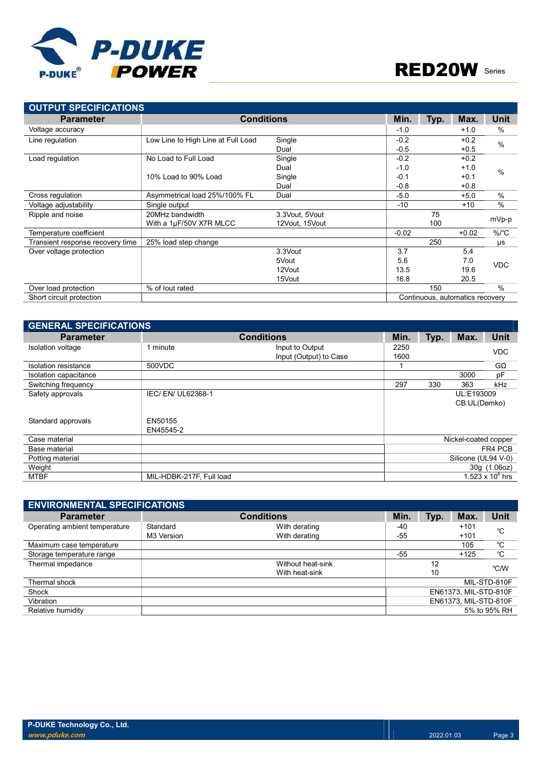

| <b>OUTPUT SPECIFICATIONS</b>     |                                    |                |         |      |                                 |                      |
|----------------------------------|------------------------------------|----------------|---------|------|---------------------------------|----------------------|
| <b>Parameter</b>                 | <b>Conditions</b>                  |                | Min.    | Typ. | Max.                            | <b>Unit</b>          |
| Voltage accuracy                 |                                    |                | $-1.0$  |      | $+1.0$                          | %                    |
| Line regulation                  | Low Line to High Line at Full Load | Single         | $-0.2$  |      | $+0.2$                          | $\frac{0}{0}$        |
|                                  |                                    | Dual           | $-0.5$  |      | $+0.5$                          |                      |
| Load regulation                  | No Load to Full Load               | Single         | $-0.2$  |      | $+0.2$                          |                      |
|                                  |                                    | Dual           | $-1.0$  |      | $+1.0$                          | %                    |
|                                  | 10% Load to 90% Load               | Single         | $-0.1$  |      | $+0.1$                          |                      |
|                                  |                                    | Dual           | $-0.8$  |      | $+0.8$                          |                      |
| Cross regulation                 | Asymmetrical load 25%/100% FL      | Dual           | $-5.0$  |      | $+5.0$                          | $\frac{0}{0}$        |
| Voltage adjustability            | Single output                      |                | $-10$   |      | $+10$                           | $\frac{0}{0}$        |
| Ripple and noise                 | 20MHz bandwidth                    | 3.3Vout, 5Vout |         | 75   |                                 | mVp-p                |
|                                  | With a 1µF/50V X7R MLCC            | 12Vout, 15Vout |         | 100  |                                 |                      |
| Temperature coefficient          |                                    |                | $-0.02$ |      | $+0.02$                         | $%$ / ${}^{\circ}$ C |
| Transient response recovery time | 25% load step change               |                |         | 250  |                                 | μs                   |
| Over voltage protection          |                                    | 3.3Vout        | 3.7     |      | 5.4                             |                      |
|                                  |                                    | 5Vout          | 5.6     |      | 7.0                             | <b>VDC</b>           |
|                                  |                                    | 12Vout         | 13.5    |      | 19.6                            |                      |
|                                  |                                    | 15Vout         | 16.8    |      | 20.5                            |                      |
| Over load protection             | % of lout rated                    |                |         | 150  |                                 | $\frac{0}{0}$        |
| Short circuit protection         |                                    |                |         |      | Continuous, automatics recovery |                      |

| <b>GENERAL SPECIFICATIONS</b> |                          |                        |      |      |                      |                         |  |  |
|-------------------------------|--------------------------|------------------------|------|------|----------------------|-------------------------|--|--|
| <b>Parameter</b>              |                          | <b>Conditions</b>      | Min. | Typ. | Max.                 | Unit                    |  |  |
| Isolation voltage             | 1 minute                 | Input to Output        | 2250 |      |                      | <b>VDC</b>              |  |  |
|                               |                          | Input (Output) to Case | 1600 |      |                      |                         |  |  |
| <b>Isolation resistance</b>   | 500VDC                   |                        |      |      |                      | $G\Omega$               |  |  |
| Isolation capacitance         |                          |                        |      |      | 3000                 | pF                      |  |  |
| Switching frequency           |                          |                        | 297  | 330  | 363                  | kHz                     |  |  |
| Safety approvals              | IEC/EN/UL62368-1         |                        |      |      | UL:E193009           |                         |  |  |
|                               |                          |                        |      |      | CB:UL(Demko)         |                         |  |  |
|                               |                          |                        |      |      |                      |                         |  |  |
| Standard approvals            | EN50155                  |                        |      |      |                      |                         |  |  |
|                               | EN45545-2                |                        |      |      |                      |                         |  |  |
| Case material                 |                          |                        |      |      | Nickel-coated copper |                         |  |  |
| Base material                 |                          |                        |      |      |                      | FR4 PCB                 |  |  |
| Potting material              |                          |                        |      |      | Silicone (UL94 V-0)  |                         |  |  |
| Weight                        |                          |                        |      |      |                      | 30g (1.06oz)            |  |  |
| MTBF                          | MIL-HDBK-217F, Full load |                        |      |      |                      | $1.523 \times 10^6$ hrs |  |  |

| <b>ENVIRONMENTAL SPECIFICATIONS</b> |            |                   |       |      |                       |              |  |  |  |
|-------------------------------------|------------|-------------------|-------|------|-----------------------|--------------|--|--|--|
| <b>Parameter</b>                    |            | <b>Conditions</b> | Min.  | Typ. | Max.                  | Unit         |  |  |  |
| Operating ambient temperature       | Standard   | With derating     | -40   |      | $+101$                | °C           |  |  |  |
|                                     | M3 Version | With derating     | $-55$ |      | $+101$                |              |  |  |  |
| Maximum case temperature            |            |                   |       |      | 105                   | °C           |  |  |  |
| Storage temperature range           |            |                   | $-55$ |      | $+125$                | °C           |  |  |  |
| Thermal impedance                   |            | Without heat-sink |       | 12   |                       | °C/W         |  |  |  |
|                                     |            | With heat-sink    |       | 10   |                       |              |  |  |  |
| Thermal shock                       |            |                   |       |      |                       | MIL-STD-810F |  |  |  |
| Shock                               |            |                   |       |      | EN61373, MIL-STD-810F |              |  |  |  |
| Vibration                           |            |                   |       |      | EN61373, MIL-STD-810F |              |  |  |  |
| Relative humidity                   |            |                   |       |      |                       | 5% to 95% RH |  |  |  |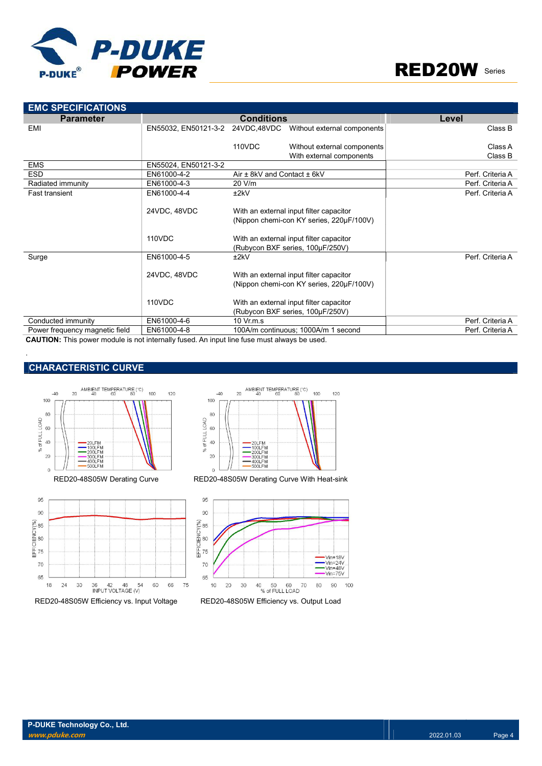

| <b>EMC SPECIFICATIONS</b>                                                                   |                      |                             |                                                                                     |                    |
|---------------------------------------------------------------------------------------------|----------------------|-----------------------------|-------------------------------------------------------------------------------------|--------------------|
| <b>Parameter</b>                                                                            |                      | <b>Conditions</b>           |                                                                                     | Level              |
| EMI                                                                                         | EN55032, EN50121-3-2 | 24VDC,48VDC                 | Without external components                                                         | Class B            |
|                                                                                             |                      | 110VDC                      | Without external components<br>With external components                             | Class A<br>Class B |
| <b>EMS</b>                                                                                  | EN55024, EN50121-3-2 |                             |                                                                                     |                    |
| <b>ESD</b>                                                                                  | EN61000-4-2          | Air ± 8kV and Contact ± 6kV |                                                                                     | Perf. Criteria A   |
| Radiated immunity                                                                           | EN61000-4-3          | 20 V/m                      |                                                                                     | Perf. Criteria A   |
| <b>Fast transient</b>                                                                       | EN61000-4-4          | ±2kV                        |                                                                                     | Perf. Criteria A   |
|                                                                                             | 24VDC, 48VDC         |                             | With an external input filter capacitor<br>(Nippon chemi-con KY series, 220µF/100V) |                    |
|                                                                                             | 110VDC               |                             | With an external input filter capacitor<br>(Rubycon BXF series, 100µF/250V)         |                    |
| Surge                                                                                       | EN61000-4-5          | ±2kV                        |                                                                                     | Perf. Criteria A   |
|                                                                                             | 24VDC, 48VDC         |                             | With an external input filter capacitor<br>(Nippon chemi-con KY series, 220µF/100V) |                    |
|                                                                                             | 110VDC               |                             | With an external input filter capacitor<br>(Rubycon BXF series, 100µF/250V)         |                    |
| Conducted immunity                                                                          | EN61000-4-6          | 10 Vr.m.s                   |                                                                                     | Perf. Criteria A   |
| Power frequency magnetic field                                                              | EN61000-4-8          |                             | 100A/m continuous; 1000A/m 1 second                                                 | Perf. Criteria A   |
| CALITION: This power module is not internally fused. An input line fuse must always be used |                      |                             |                                                                                     |                    |

CAUTION: This power module is not internally fused. An input line fuse must always be used.

## CHARACTERISTIC CURVE

.





RED20-48S05W Efficiency vs. Input Voltage RED20-48S05W Efficiency vs. Output Load



RED20-48S05W Derating Curve RED20-48S05W Derating Curve With Heat-sink

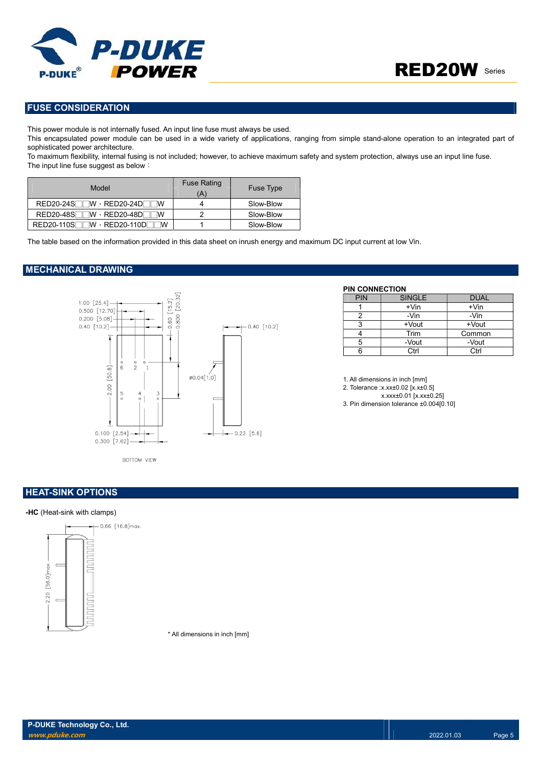

## FUSE CONSIDERATION

This power module is not internally fused. An input line fuse must always be used.

This encapsulated power module can be used in a wide variety of applications, ranging from simple stand-alone operation to an integrated part of sophisticated power architecture.

To maximum flexibility, internal fusing is not included; however, to achieve maximum safety and system protection, always use an input line fuse. The input line fuse suggest as below:

| Model                                  | <b>Fuse Rating</b><br>(A) | <b>Fuse Type</b> |
|----------------------------------------|---------------------------|------------------|
| ™ · RED20-24DΓ<br>$RED20-24S$<br>W     |                           | Slow-Blow        |
| RED20-48S<br>∏ W ⋅ RED20-48D⊟<br>M     |                           | Slow-Blow        |
| $RED20-110S$ $W \cdot RED20-110D$<br>w |                           | Slow-Blow        |

The table based on the information provided in this data sheet on inrush energy and maximum DC input current at low Vin.

## MECHANICAL DRAWING



#### PIN CONNECTION

| PIN | <b>SINGLE</b> | <b>DUAL</b> |
|-----|---------------|-------------|
|     | $+V$ in       | $+V$ in     |
|     | -Vin          | -Vin        |
| 3   | +Vout         | +Vout       |
|     | Trim          | Common      |
| 5   | -Vout         | -Vout       |
|     | Ctrl          | Ctrl        |

1. All dimensions in inch [mm] 2. Tolerance :x.xx±0.02 [x.x±0.5]

x.xxx±0.01 [x.xx±0.25]

3. Pin dimension tolerance ±0.004[0.10]

BOTTOM VIEW

## **HEAT-SINK OPTIONS**

#### -HC (Heat-sink with clamps)



\* All dimensions in inch [mm]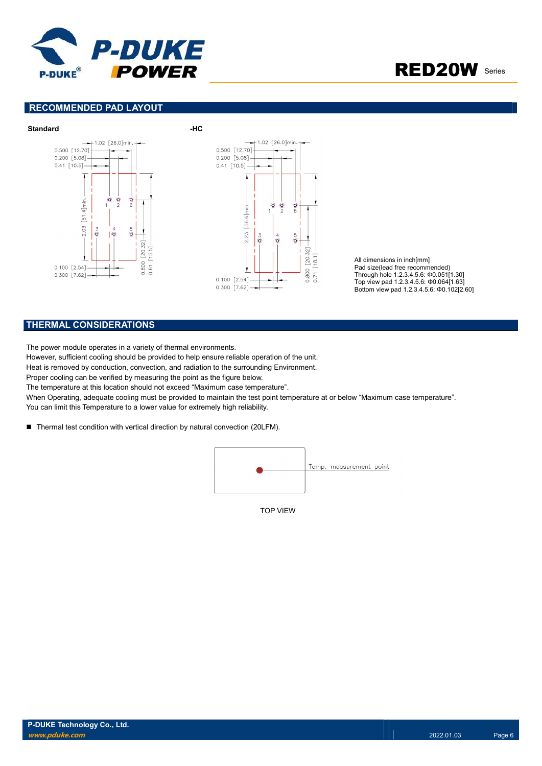



## RECOMMENDED PAD LAYOUT



All dimensions in inch[mm] Pad size(lead free recommended) Through hole 1.2.3.4.5.6: Φ0.051[1.30] Top view pad 1.2.3.4.5.6: Φ0.064[1.63] Bottom view pad 1.2.3.4.5.6: Φ0.102[2.60]

## THERMAL CONSIDERATIONS

The power module operates in a variety of thermal environments.

However, sufficient cooling should be provided to help ensure reliable operation of the unit.

Heat is removed by conduction, convection, and radiation to the surrounding Environment.

Proper cooling can be verified by measuring the point as the figure below.

The temperature at this location should not exceed "Maximum case temperature".

When Operating, adequate cooling must be provided to maintain the test point temperature at or below "Maximum case temperature". You can limit this Temperature to a lower value for extremely high reliability.

■ Thermal test condition with vertical direction by natural convection (20LFM).



TOP VIEW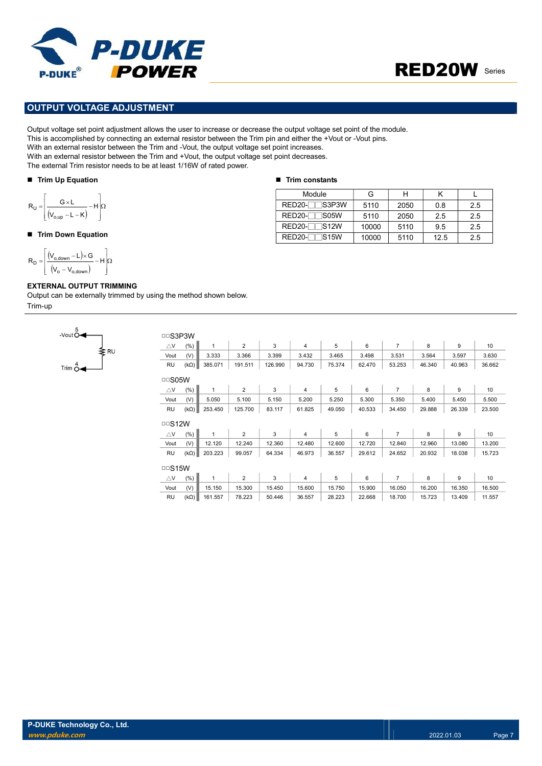

# RED20W Series

## OUTPUT VOLTAGE ADJUSTMENT

Output voltage set point adjustment allows the user to increase or decrease the output voltage set point of the module. This is accomplished by connecting an external resistor between the Trim pin and either the +Vout or -Vout pins. With an external resistor between the Trim and -Vout, the output voltage set point increases. With an external resistor between the Trim and +Vout, the output voltage set point decreases. **POWER**<br>
POWER<br>
PUT VOLTAGE ADJUSTMENT<br>
Voltage set point digital and distinct allows the user to increase or decrease the output voltage set point of the reconnection accomplished by connecting an external resistor betwe **PUT VOLTAGE ADJUSTMENT**<br>
PUT VOLTAGE ADJUSTMENT<br>
THE VOLTAGE ADJUSTMENT<br>
THE VIDEO SERVE AND USE THE THIS ARE CONSIDERED ASSOCIATED AND CONSIDERED ASSOCIATED AND CONSIDERED ASSOCIATED AND mexternal resistor between the T **POWER**<br>
UIT VOLTAGE ADJUSTMENT<br>
voltage set point adjustment allows the user to increase or decrease the output voltage set point of the m<br>
accomplished by connecting an external resistor between the Trim pin and either

The external Trim resistor needs to be at least 1/16W of rated power.

### ■ Trim Up Equation

$$
R_U=\!\left[\!\frac{G\times\!L}{\left(\!V_{o,up}\!-\!L\!-\!K\!\right)}\!-\!H\!\right]\!\!\Omega
$$

### ■ Trim Down Equation

$$
R_D=\!\left[\!\!\begin{array}{c} \left(\!V_{o,\text{down}}\!-\!L\right)\!\times\! G\\ \left(\!V_o-V_{o,\text{down}}\!\right)\end{array}\!\!\!\!-\!H\!\right]\!\!\Omega
$$

 $-$ Vout $\stackrel{5}{\mathbf{O}}$ 

Trim  $\stackrel{4}{\bigcirc}$ 

### EXTERNAL OUTPUT TRIMMING

≹RU

Output can be externally trimmed by using the method shown below. Trim-up

| □□S3P3W       |             |              |                |         |                |        |        |                |        |        |        |
|---------------|-------------|--------------|----------------|---------|----------------|--------|--------|----------------|--------|--------|--------|
| $\triangle$ V | $(\%)$      | 1            | $\overline{2}$ | 3       | 4              | 5      | 6      | $\overline{7}$ | 8      | 9      | 10     |
| Vout          | (V)         | 3.333        | 3.366          | 3.399   | 3.432          | 3.465  | 3.498  | 3.531          | 3.564  | 3.597  | 3.630  |
| <b>RU</b>     | $(k\Omega)$ | 385.071      | 191.511        | 126.990 | 94.730         | 75.374 | 62.470 | 53.253         | 46.340 | 40.963 | 36.662 |
| $\Box$ S05W   |             | $\mathbf{1}$ |                |         |                |        |        | $\overline{7}$ |        |        |        |
| $\triangle$ V | $(\% )$     |              | $\overline{2}$ | 3       | 4              | 5      | 6      |                | 8      | 9      | 10     |
| Vout          | (V)         | 5.050        | 5.100          | 5.150   | 5.200          | 5.250  | 5.300  | 5.350          | 5.400  | 5.450  | 5.500  |
| RU            | $(k\Omega)$ | 253.450      | 125.700        | 83.117  | 61.825         | 49.050 | 40.533 | 34.450         | 29.888 | 26.339 | 23.500 |
| $\Box$ S12W   |             |              |                |         |                |        |        |                |        |        |        |
| $\triangle$ V | $(\%)$      | 1            | $\overline{2}$ | 3       | $\overline{4}$ | 5      | 6      | $\overline{7}$ | 8      | 9      | 10     |
| Vout          | (V)         | 12.120       | 12.240         | 12.360  | 12.480         | 12.600 | 12.720 | 12.840         | 12.960 | 13.080 | 13.200 |
| <b>RU</b>     | $(k\Omega)$ | 203.223      | 99.057         | 64.334  | 46.973         | 36.557 | 29.612 | 24.652         | 20.932 | 18.038 | 15.723 |
| $\Box$ S15W   |             |              |                |         |                |        |        |                |        |        |        |
| $\triangle$ V | $(\% )$     | $\mathbf{1}$ | 2              | 3       | 4              | 5      | 6      | $\overline{7}$ | 8      | 9      | 10     |
| Vout          | (V)         | 15.150       | 15.300         | 15.450  | 15.600         | 15.750 | 15.900 | 16.050         | 16.200 | 16.350 | 16.500 |
| <b>RU</b>     | $(k\Omega)$ | 161.557      | 78.223         | 50.446  | 36.557         | 28.223 | 22.668 | 18.700         | 15.723 | 13.409 | 11.557 |

# $\blacksquare$  Trim constants

| Module                    | G     | н    |      |     |
|---------------------------|-------|------|------|-----|
| ∃S3P3W<br>$RED20-\square$ | 5110  | 2050 | 0.8  | 2.5 |
| $RED20-$<br>∃S05W         | 5110  | 2050 | 2.5  | 2.5 |
| $RED20-$<br>∏S12W         | 10000 | 5110 | 9.5  | 2.5 |
| 1S15W<br>$RED20-$         | 10000 | 5110 | 12.5 | 2.5 |